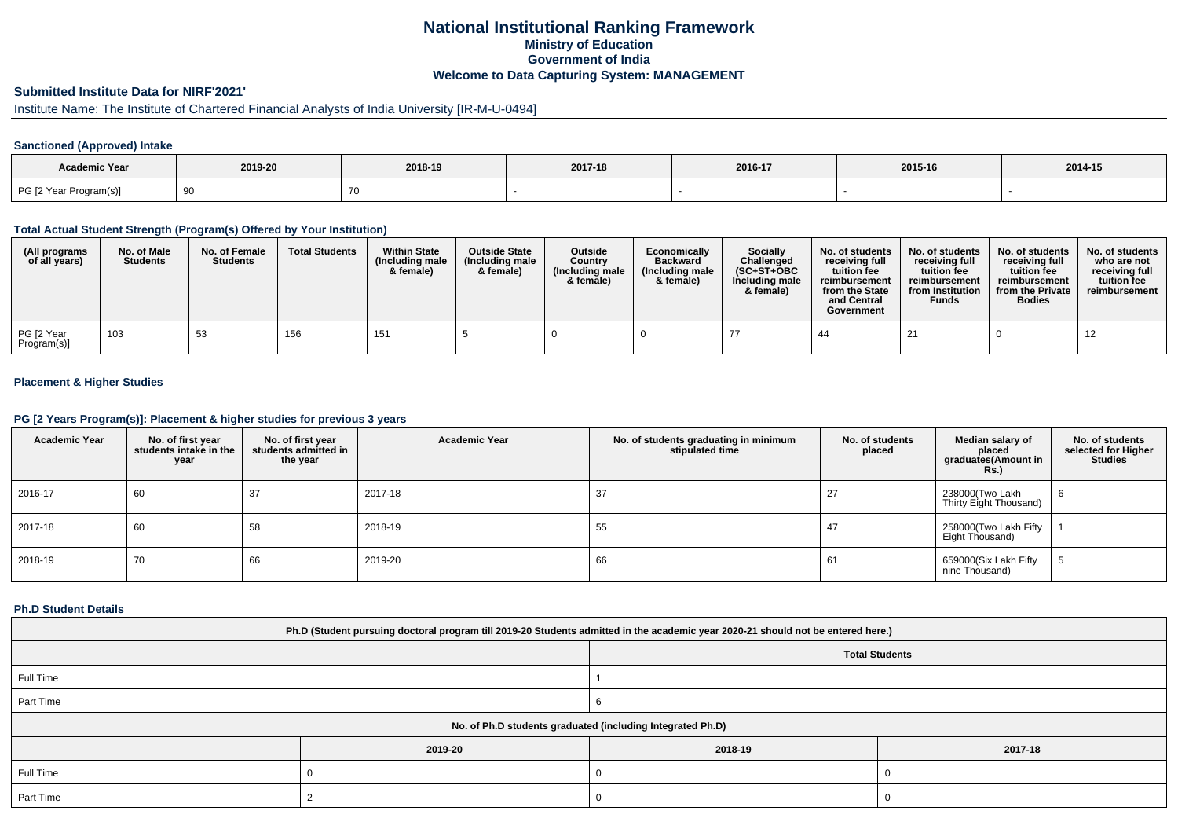# **National Institutional Ranking FrameworkMinistry of Education Government of IndiaWelcome to Data Capturing System: MANAGEMENT**

# **Submitted Institute Data for NIRF'2021'**

# Institute Name: The Institute of Chartered Financial Analysts of India University [IR-M-U-0494]

### **Sanctioned (Approved) Intake**

| Academic Year          |         |         |  |         |         |         |
|------------------------|---------|---------|--|---------|---------|---------|
|                        | 2019-20 | 2018-19 |  | 2016-17 | 2015-16 | 2014-15 |
| PG [2 Year Program(s)] |         |         |  |         |         |         |

#### **Total Actual Student Strength (Program(s) Offered by Your Institution)**

| (All programs<br>of all years) | No. of Male<br><b>Students</b> | No. of Female<br><b>Students</b> | <b>Total Students</b> | <b>Within State</b><br>(Including male)<br>& female) | <b>Outside State</b><br>(Including male<br>& female) | Outside<br>Country<br>(Including male)<br>& female) | Economically<br><b>Backward</b><br>(Including male<br>& female) | Socially<br>Challenged<br>$(SC+ST+OBC$<br>Including male<br>& female) | No. of students<br>receiving full<br>tuition fee<br>reimbursement<br>from the State<br>and Central<br>Government | No. of students<br>receiving full<br>tuition fee<br>reimbursement<br>from Institution<br><b>Funds</b> | No. of students<br>receiving full<br>tuition fee<br>reimbursement<br>from the Private<br><b>Bodies</b> | No. of students<br>who are not<br>receiving full<br>tuition fee<br>reimbursement |
|--------------------------------|--------------------------------|----------------------------------|-----------------------|------------------------------------------------------|------------------------------------------------------|-----------------------------------------------------|-----------------------------------------------------------------|-----------------------------------------------------------------------|------------------------------------------------------------------------------------------------------------------|-------------------------------------------------------------------------------------------------------|--------------------------------------------------------------------------------------------------------|----------------------------------------------------------------------------------|
| PG [2 Year<br>Program(s)]      | 103                            | 53                               | 156                   | 151                                                  |                                                      |                                                     |                                                                 |                                                                       | -44                                                                                                              | 21                                                                                                    |                                                                                                        | 12                                                                               |

## **Placement & Higher Studies**

#### **PG [2 Years Program(s)]: Placement & higher studies for previous 3 years**

| <b>Academic Year</b> | No. of first year<br>students intake in the<br>year | No. of first year<br>students admitted in<br>the year | <b>Academic Year</b> | No. of students graduating in minimum<br>stipulated time | No. of students<br>placed | Median salary of<br>placed<br>graduates(Amount in<br><b>Rs.)</b> | No. of students<br>selected for Higher<br><b>Studies</b> |
|----------------------|-----------------------------------------------------|-------------------------------------------------------|----------------------|----------------------------------------------------------|---------------------------|------------------------------------------------------------------|----------------------------------------------------------|
| 2016-17              | 60                                                  | 37                                                    | 2017-18              | 37                                                       | 27                        | 238000(Two Lakh<br>Thirty Eight Thousand)                        | 6                                                        |
| 2017-18              | 60                                                  | 58                                                    | 2018-19              | 55                                                       | 47                        | 258000(Two Lakh Fifty<br>Eight Thousand)                         |                                                          |
| 2018-19              | 70                                                  | 66                                                    | 2019-20              | 66                                                       | 61                        | 659000(Six Lakh Fifty<br>nine Thousand)                          |                                                          |

#### **Ph.D Student Details**

| Ph.D (Student pursuing doctoral program till 2019-20 Students admitted in the academic year 2020-21 should not be entered here.) |                                                            |         |         |  |  |  |  |  |
|----------------------------------------------------------------------------------------------------------------------------------|------------------------------------------------------------|---------|---------|--|--|--|--|--|
| <b>Total Students</b>                                                                                                            |                                                            |         |         |  |  |  |  |  |
| Full Time                                                                                                                        |                                                            |         |         |  |  |  |  |  |
| Part Time                                                                                                                        |                                                            |         |         |  |  |  |  |  |
|                                                                                                                                  | No. of Ph.D students graduated (including Integrated Ph.D) |         |         |  |  |  |  |  |
|                                                                                                                                  | 2019-20                                                    | 2018-19 | 2017-18 |  |  |  |  |  |
| Full Time                                                                                                                        |                                                            |         |         |  |  |  |  |  |
| Part Time                                                                                                                        |                                                            | J.      |         |  |  |  |  |  |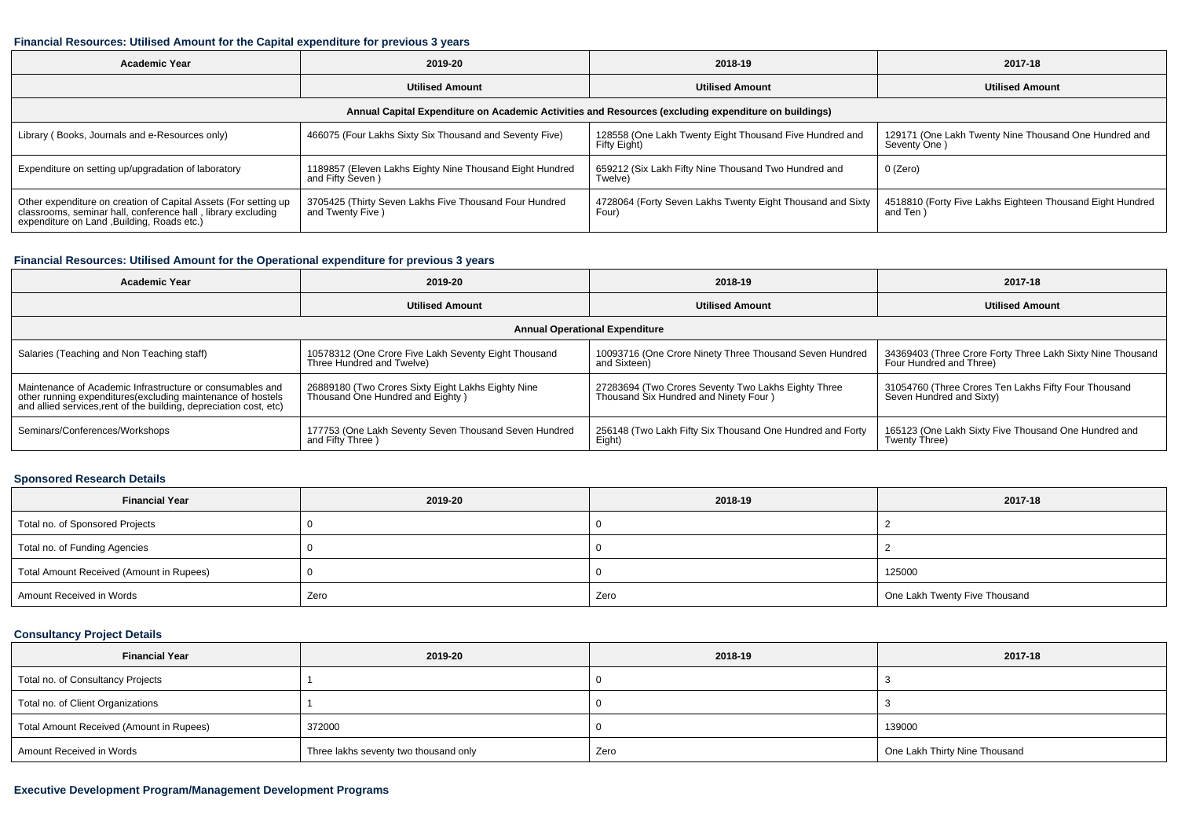#### **Financial Resources: Utilised Amount for the Capital expenditure for previous 3 years**

| <b>Academic Year</b>                                                                                                                                                           | 2019-20                                                                      | 2018-19                                                                 | 2017-18                                                               |  |  |  |  |  |  |
|--------------------------------------------------------------------------------------------------------------------------------------------------------------------------------|------------------------------------------------------------------------------|-------------------------------------------------------------------------|-----------------------------------------------------------------------|--|--|--|--|--|--|
|                                                                                                                                                                                | <b>Utilised Amount</b>                                                       | <b>Utilised Amount</b>                                                  | <b>Utilised Amount</b>                                                |  |  |  |  |  |  |
| Annual Capital Expenditure on Academic Activities and Resources (excluding expenditure on buildings)                                                                           |                                                                              |                                                                         |                                                                       |  |  |  |  |  |  |
| Library (Books, Journals and e-Resources only)                                                                                                                                 | 466075 (Four Lakhs Sixty Six Thousand and Seventy Five)                      | 128558 (One Lakh Twenty Eight Thousand Five Hundred and<br>Fifty Eight) | 129171 (One Lakh Twenty Nine Thousand One Hundred and<br>Seventy One) |  |  |  |  |  |  |
| Expenditure on setting up/upgradation of laboratory                                                                                                                            | 1189857 (Eleven Lakhs Eighty Nine Thousand Eight Hundred<br>and Fifty Seven) | 659212 (Six Lakh Fifty Nine Thousand Two Hundred and<br>Twelve)         | 0 (Zero)                                                              |  |  |  |  |  |  |
| Other expenditure on creation of Capital Assets (For setting up<br>classrooms, seminar hall, conference hall, library excluding<br>expenditure on Land , Building, Roads etc.) | 3705425 (Thirty Seven Lakhs Five Thousand Four Hundred<br>and Twenty Five)   | 4728064 (Forty Seven Lakhs Twenty Eight Thousand and Sixty<br>Four)     | 4518810 (Forty Five Lakhs Eighteen Thousand Eight Hundred<br>and Ten) |  |  |  |  |  |  |

## **Financial Resources: Utilised Amount for the Operational expenditure for previous 3 years**

| <b>Academic Year</b>                                                                                                              | 2019-20                                               | 2018-19                                                   | 2017-18                                                    |  |  |  |  |  |  |
|-----------------------------------------------------------------------------------------------------------------------------------|-------------------------------------------------------|-----------------------------------------------------------|------------------------------------------------------------|--|--|--|--|--|--|
|                                                                                                                                   | <b>Utilised Amount</b>                                | <b>Utilised Amount</b>                                    | <b>Utilised Amount</b>                                     |  |  |  |  |  |  |
| <b>Annual Operational Expenditure</b>                                                                                             |                                                       |                                                           |                                                            |  |  |  |  |  |  |
| Salaries (Teaching and Non Teaching staff)                                                                                        | 10578312 (One Crore Five Lakh Seventy Eight Thousand  | 10093716 (One Crore Ninety Three Thousand Seven Hundred   | 34369403 (Three Crore Forty Three Lakh Sixty Nine Thousand |  |  |  |  |  |  |
|                                                                                                                                   | Three Hundred and Twelve)                             | and Sixteen)                                              | Four Hundred and Three)                                    |  |  |  |  |  |  |
| Maintenance of Academic Infrastructure or consumables and                                                                         | 26889180 (Two Crores Sixty Eight Lakhs Eighty Nine    | 27283694 (Two Crores Seventy Two Lakhs Eighty Three       | 31054760 (Three Crores Ten Lakhs Fifty Four Thousand       |  |  |  |  |  |  |
| other running expenditures(excluding maintenance of hostels<br>and allied services, rent of the building, depreciation cost, etc) | Thousand One Hundred and Eighty)                      | Thousand Six Hundred and Ninety Four)                     | Seven Hundred and Sixty)                                   |  |  |  |  |  |  |
| Seminars/Conferences/Workshops                                                                                                    | 177753 (One Lakh Seventy Seven Thousand Seven Hundred | 256148 (Two Lakh Fifty Six Thousand One Hundred and Forty | 165123 (One Lakh Sixty Five Thousand One Hundred and       |  |  |  |  |  |  |
|                                                                                                                                   | and Fifty Three )                                     | Eight)                                                    | Twenty Three)                                              |  |  |  |  |  |  |

## **Sponsored Research Details**

| <b>Financial Year</b>                    | 2019-20 | 2018-19 | 2017-18                       |
|------------------------------------------|---------|---------|-------------------------------|
| Total no. of Sponsored Projects          |         |         |                               |
| Total no. of Funding Agencies            |         |         |                               |
| Total Amount Received (Amount in Rupees) |         |         | 125000                        |
| Amount Received in Words                 | Zero    | Zero    | One Lakh Twenty Five Thousand |

# **Consultancy Project Details**

| <b>Financial Year</b>                    | 2019-20                               | 2018-19 | 2017-18                       |
|------------------------------------------|---------------------------------------|---------|-------------------------------|
| Total no. of Consultancy Projects        |                                       |         |                               |
| Total no. of Client Organizations        |                                       |         |                               |
| Total Amount Received (Amount in Rupees) | 372000                                |         | 139000                        |
| Amount Received in Words                 | Three lakhs seventy two thousand only | Zero    | One Lakh Thirty Nine Thousand |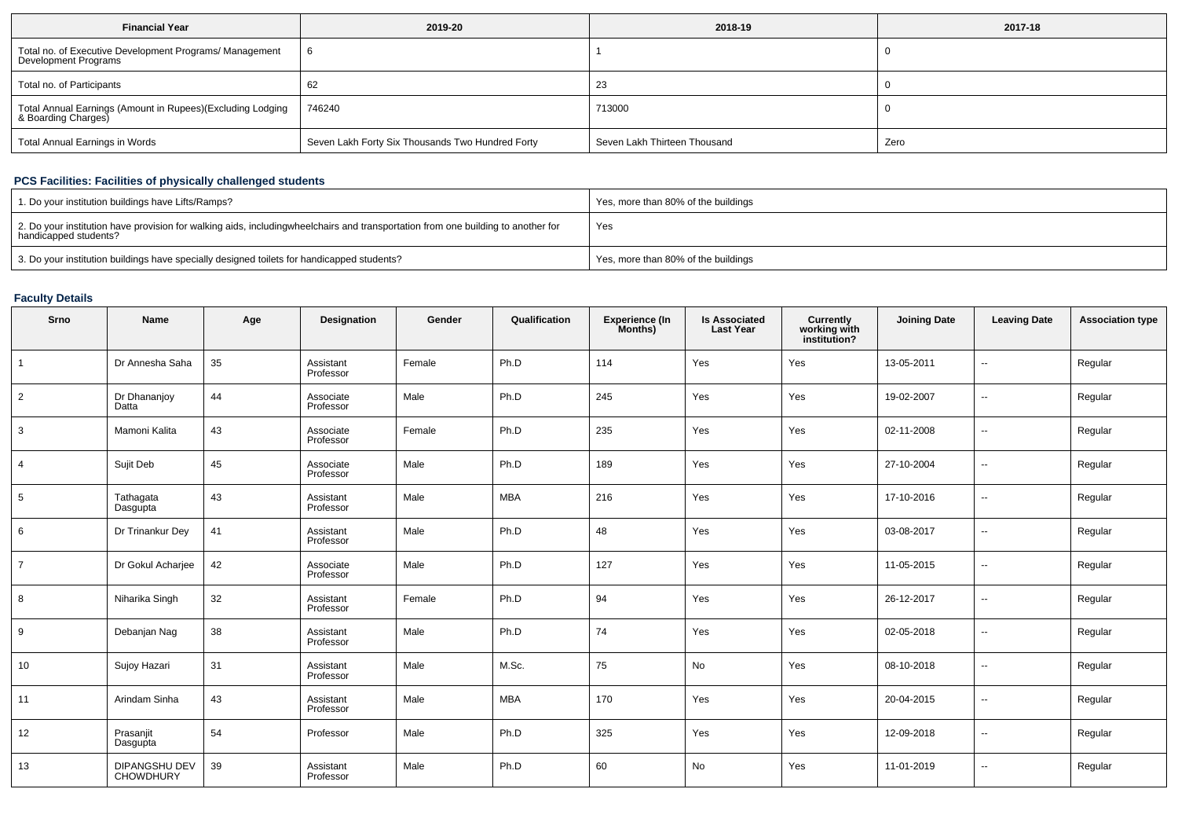| <b>Financial Year</b>                                                             | 2019-20                                          | 2018-19                      | 2017-18 |
|-----------------------------------------------------------------------------------|--------------------------------------------------|------------------------------|---------|
| Total no. of Executive Development Programs/ Management<br>Development Programs   |                                                  |                              |         |
| Total no. of Participants                                                         | 62                                               | 23                           |         |
| Total Annual Earnings (Amount in Rupees)(Excluding Lodging<br>& Boarding Charges) | 746240                                           | 713000                       |         |
| Total Annual Earnings in Words                                                    | Seven Lakh Forty Six Thousands Two Hundred Forty | Seven Lakh Thirteen Thousand | Zero    |

# **PCS Facilities: Facilities of physically challenged students**

| 1. Do your institution buildings have Lifts/Ramps?                                                                                                        | Yes, more than 80% of the buildings |
|-----------------------------------------------------------------------------------------------------------------------------------------------------------|-------------------------------------|
| 2. Do your institution have provision for walking aids, includingwheelchairs and transportation from one building to another for<br>handicapped students? | Yes                                 |
| 3. Do your institution buildings have specially designed toilets for handicapped students?                                                                | Yes, more than 80% of the buildings |

# **Faculty Details**

| Srno           | Name                              | Age | Designation            | Gender | Qualification | <b>Experience (In</b><br>Months) | <b>Is Associated</b><br><b>Last Year</b> | <b>Currently<br/>working with<br/>institution?</b> | <b>Joining Date</b> | <b>Leaving Date</b>      | <b>Association type</b> |
|----------------|-----------------------------------|-----|------------------------|--------|---------------|----------------------------------|------------------------------------------|----------------------------------------------------|---------------------|--------------------------|-------------------------|
|                | Dr Annesha Saha                   | 35  | Assistant<br>Professor | Female | Ph.D          | 114                              | Yes                                      | Yes                                                | 13-05-2011          | $\sim$                   | Regular                 |
| $\overline{2}$ | Dr Dhananjoy<br>Datta             | 44  | Associate<br>Professor | Male   | Ph.D          | 245                              | Yes                                      | Yes                                                | 19-02-2007          | --                       | Regular                 |
| 3              | Mamoni Kalita                     | 43  | Associate<br>Professor | Female | Ph.D          | 235                              | Yes                                      | Yes                                                | 02-11-2008          | --                       | Regular                 |
| $\overline{4}$ | Sujit Deb                         | 45  | Associate<br>Professor | Male   | Ph.D          | 189                              | Yes                                      | Yes                                                | 27-10-2004          | --                       | Regular                 |
| 5              | Tathagata<br>Dasgupta             | 43  | Assistant<br>Professor | Male   | <b>MBA</b>    | 216                              | Yes                                      | Yes                                                | 17-10-2016          | −−                       | Regular                 |
| 6              | Dr Trinankur Dey                  | 41  | Assistant<br>Professor | Male   | Ph.D          | 48                               | Yes                                      | Yes                                                | 03-08-2017          | --                       | Regular                 |
| $\overline{7}$ | Dr Gokul Acharjee                 | 42  | Associate<br>Professor | Male   | Ph.D          | 127                              | Yes                                      | Yes                                                | 11-05-2015          | --                       | Regular                 |
| 8              | Niharika Singh                    | 32  | Assistant<br>Professor | Female | Ph.D          | 94                               | Yes                                      | Yes                                                | 26-12-2017          | --                       | Regular                 |
| 9              | Debanjan Nag                      | 38  | Assistant<br>Professor | Male   | Ph.D          | 74                               | Yes                                      | Yes                                                | 02-05-2018          | −−                       | Regular                 |
| 10             | Sujoy Hazari                      | 31  | Assistant<br>Professor | Male   | M.Sc.         | 75                               | No                                       | Yes                                                | 08-10-2018          | $\overline{\phantom{a}}$ | Regular                 |
| 11             | Arindam Sinha                     | 43  | Assistant<br>Professor | Male   | MBA           | 170                              | Yes                                      | Yes                                                | 20-04-2015          |                          | Regular                 |
| 12             | Prasanjit<br>Dasgupta             | 54  | Professor              | Male   | Ph.D          | 325                              | Yes                                      | Yes                                                | 12-09-2018          | --                       | Regular                 |
| 13             | DIPANGSHU DEV<br><b>CHOWDHURY</b> | 39  | Assistant<br>Professor | Male   | Ph.D          | 60                               | No                                       | Yes                                                | 11-01-2019          | $\overline{\phantom{a}}$ | Regular                 |